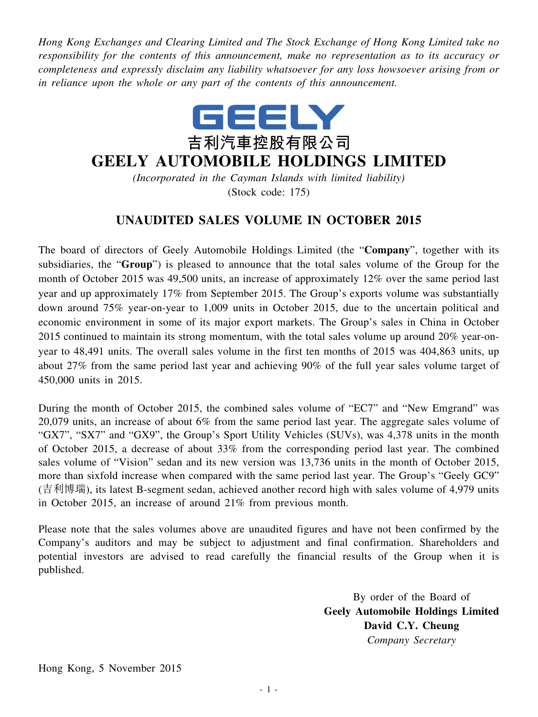*Hong Kong Exchanges and Clearing Limited and The Stock Exchange of Hong Kong Limited take no responsibility for the contents of this announcement, make no representation as to its accuracy or completeness and expressly disclaim any liability whatsoever for any loss howsoever arising from or in reliance upon the whole or any part of the contents of this announcement.*



## **GEELY AUTOMOBILE HOLDINGS LIMITED**

*(Incorporated in the Cayman Islands with limited liability)* (Stock code: 175)

## **UNAUDITED SALES VOLUME IN OCTOBER 2015**

The board of directors of Geely Automobile Holdings Limited (the "**Company**", together with its subsidiaries, the "**Group**") is pleased to announce that the total sales volume of the Group for the month of October 2015 was 49,500 units, an increase of approximately 12% over the same period last year and up approximately 17% from September 2015. The Group's exports volume was substantially down around 75% year-on-year to 1,009 units in October 2015, due to the uncertain political and economic environment in some of its major export markets. The Group's sales in China in October 2015 continued to maintain its strong momentum, with the total sales volume up around 20% year-onyear to 48,491 units. The overall sales volume in the first ten months of 2015 was 404,863 units, up about 27% from the same period last year and achieving 90% of the full year sales volume target of 450,000 units in 2015.

During the month of October 2015, the combined sales volume of "EC7" and "New Emgrand" was 20,079 units, an increase of about 6% from the same period last year. The aggregate sales volume of "GX7", "SX7" and "GX9", the Group's Sport Utility Vehicles (SUVs), was 4,378 units in the month of October 2015, a decrease of about 33% from the corresponding period last year. The combined sales volume of "Vision" sedan and its new version was 13,736 units in the month of October 2015, more than sixfold increase when compared with the same period last year. The Group's "Geely GC9" (吉利博瑞), its latest B-segment sedan, achieved another record high with sales volume of 4,979 units in October 2015, an increase of around 21% from previous month.

Please note that the sales volumes above are unaudited figures and have not been confirmed by the Company's auditors and may be subject to adjustment and final confirmation. Shareholders and potential investors are advised to read carefully the financial results of the Group when it is published.

> By order of the Board of **Geely Automobile Holdings Limited David C.Y. Cheung** *Company Secretary*

Hong Kong, 5 November 2015